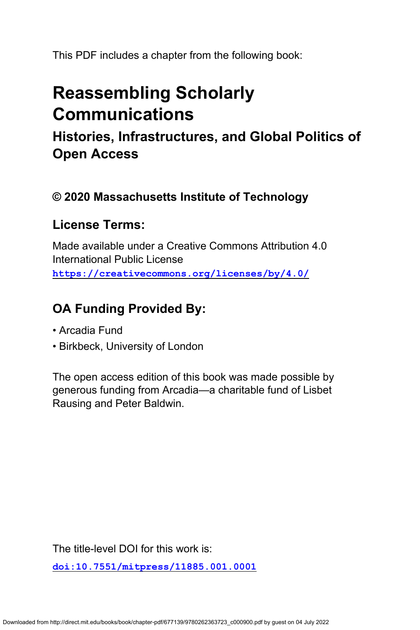This PDF includes a chapter from the following book:

# **Reassembling Scholarly Communications**

**Histories, Infrastructures, and Global Politics of Open Access**

# **© 2020 Massachusetts Institute of Technology**

# **License Terms:**

Made available under a Creative Commons Attribution 4.0 International Public License **<https://creativecommons.org/licenses/by/4.0/>**

# **OA Funding Provided By:**

- Arcadia Fund
- Birkbeck, University of London

The open access edition of this book was made possible by generous funding from Arcadia—a charitable fund of Lisbet Rausing and Peter Baldwin.

The title-level DOI for this work is:

**[doi:10.7551/mitpress/11885.001.0001](https://doi.org/10.7551/mitpress/11885.001.0001)**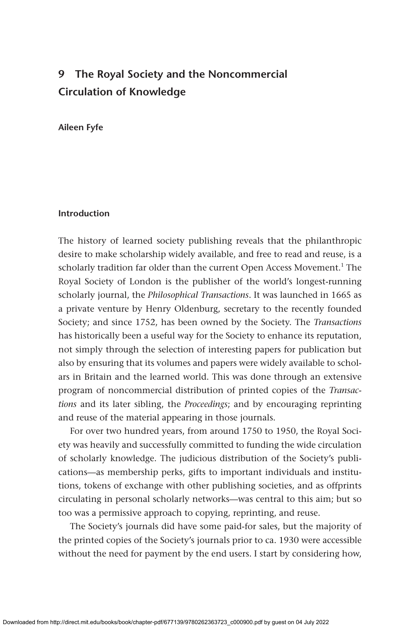# **9 The Royal Society and the Noncommercial Circulation of Knowledge**

### **Aileen Fyfe**

#### **Introduction**

The history of learned society publishing reveals that the philanthropic desire to make scholarship widely available, and free to read and reuse, is a scholarly tradition far older than the current Open Access Movement.<sup>1</sup> The Royal Society of London is the publisher of the world's longest-running scholarly journal, the *Philosophical Transactions*. It was launched in 1665 as a private venture by Henry Oldenburg, secretary to the recently founded Society; and since 1752, has been owned by the Society. The *Transactions* has historically been a useful way for the Society to enhance its reputation, not simply through the selection of interesting papers for publication but also by ensuring that its volumes and papers were widely available to scholars in Britain and the learned world. This was done through an extensive program of noncommercial distribution of printed copies of the *Transactions* and its later sibling, the *Proceedings*; and by encouraging reprinting and reuse of the material appearing in those journals.

For over two hundred years, from around 1750 to 1950, the Royal Society was heavily and successfully committed to funding the wide circulation of scholarly knowledge. The judicious distribution of the Society's publications—as membership perks, gifts to important individuals and institutions, tokens of exchange with other publishing societies, and as offprints circulating in personal scholarly networks—was central to this aim; but so too was a permissive approach to copying, reprinting, and reuse.

The Society's journals did have some paid-for sales, but the majority of the printed copies of the Society's journals prior to ca. 1930 were accessible without the need for payment by the end users. I start by considering how,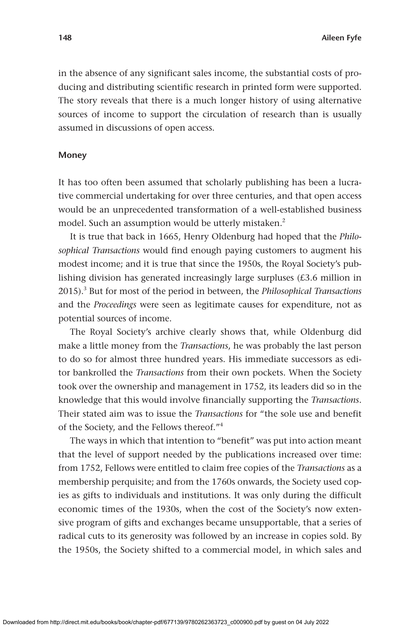in the absence of any significant sales income, the substantial costs of producing and distributing scientific research in printed form were supported. The story reveals that there is a much longer history of using alternative sources of income to support the circulation of research than is usually assumed in discussions of open access.

#### **Money**

It has too often been assumed that scholarly publishing has been a lucrative commercial undertaking for over three centuries, and that open access would be an unprecedented transformation of a well-established business model. Such an assumption would be utterly mistaken.<sup>2</sup>

It is true that back in 1665, Henry Oldenburg had hoped that the *Philosophical Transactions* would find enough paying customers to augment his modest income; and it is true that since the 1950s, the Royal Society's publishing division has generated increasingly large surpluses (£3.6 million in 2015).3 But for most of the period in between, the *Philosophical Transactions* and the *Proceedings* were seen as legitimate causes for expenditure, not as potential sources of income.

The Royal Society's archive clearly shows that, while Oldenburg did make a little money from the *Transactions*, he was probably the last person to do so for almost three hundred years. His immediate successors as editor bankrolled the *Transactions* from their own pockets. When the Society took over the ownership and management in 1752, its leaders did so in the knowledge that this would involve financially supporting the *Transactions*. Their stated aim was to issue the *Transactions* for "the sole use and benefit of the Society, and the Fellows thereof."4

The ways in which that intention to "benefit" was put into action meant that the level of support needed by the publications increased over time: from 1752, Fellows were entitled to claim free copies of the *Transactions* as a membership perquisite; and from the 1760s onwards, the Society used copies as gifts to individuals and institutions. It was only during the difficult economic times of the 1930s, when the cost of the Society's now extensive program of gifts and exchanges became unsupportable, that a series of radical cuts to its generosity was followed by an increase in copies sold. By the 1950s, the Society shifted to a commercial model, in which sales and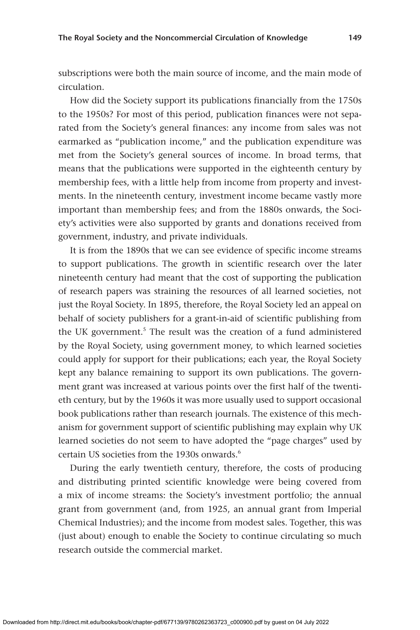subscriptions were both the main source of income, and the main mode of circulation.

How did the Society support its publications financially from the 1750s to the 1950s? For most of this period, publication finances were not separated from the Society's general finances: any income from sales was not earmarked as "publication income," and the publication expenditure was met from the Society's general sources of income. In broad terms, that means that the publications were supported in the eighteenth century by membership fees, with a little help from income from property and investments. In the nineteenth century, investment income became vastly more important than membership fees; and from the 1880s onwards, the Society's activities were also supported by grants and donations received from government, industry, and private individuals.

It is from the 1890s that we can see evidence of specific income streams to support publications. The growth in scientific research over the later nineteenth century had meant that the cost of supporting the publication of research papers was straining the resources of all learned societies, not just the Royal Society. In 1895, therefore, the Royal Society led an appeal on behalf of society publishers for a grant-in-aid of scientific publishing from the UK government.<sup>5</sup> The result was the creation of a fund administered by the Royal Society, using government money, to which learned societies could apply for support for their publications; each year, the Royal Society kept any balance remaining to support its own publications. The government grant was increased at various points over the first half of the twentieth century, but by the 1960s it was more usually used to support occasional book publications rather than research journals. The existence of this mechanism for government support of scientific publishing may explain why UK learned societies do not seem to have adopted the "page charges" used by certain US societies from the 1930s onwards  $6$ 

During the early twentieth century, therefore, the costs of producing and distributing printed scientific knowledge were being covered from a mix of income streams: the Society's investment portfolio; the annual grant from government (and, from 1925, an annual grant from Imperial Chemical Industries); and the income from modest sales. Together, this was (just about) enough to enable the Society to continue circulating so much research outside the commercial market.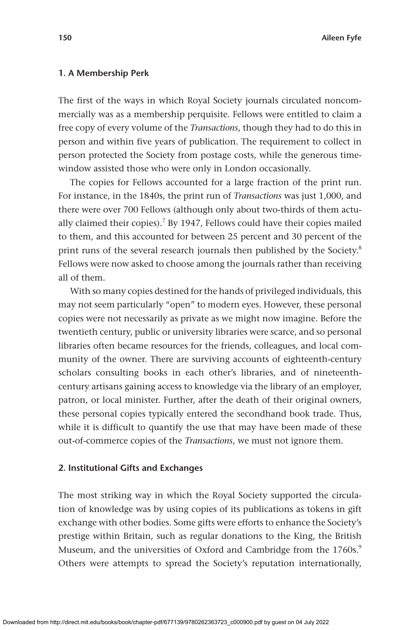#### **1. A Membership Perk**

The first of the ways in which Royal Society journals circulated noncommercially was as a membership perquisite. Fellows were entitled to claim a free copy of every volume of the *Transactions*, though they had to do this in person and within five years of publication. The requirement to collect in person protected the Society from postage costs, while the generous timewindow assisted those who were only in London occasionally.

The copies for Fellows accounted for a large fraction of the print run. For instance, in the 1840s, the print run of *Transactions* was just 1,000, and there were over 700 Fellows (although only about two-thirds of them actually claimed their copies).<sup>7</sup> By 1947, Fellows could have their copies mailed to them, and this accounted for between 25 percent and 30 percent of the print runs of the several research journals then published by the Society.<sup>8</sup> Fellows were now asked to choose among the journals rather than receiving all of them.

With so many copies destined for the hands of privileged individuals, this may not seem particularly "open" to modern eyes. However, these personal copies were not necessarily as private as we might now imagine. Before the twentieth century, public or university libraries were scarce, and so personal libraries often became resources for the friends, colleagues, and local community of the owner. There are surviving accounts of eighteenth-century scholars consulting books in each other's libraries, and of nineteenthcentury artisans gaining access to knowledge via the library of an employer, patron, or local minister. Further, after the death of their original owners, these personal copies typically entered the secondhand book trade. Thus, while it is difficult to quantify the use that may have been made of these out-of-commerce copies of the *Transactions*, we must not ignore them.

#### **2. Institutional Gifts and Exchanges**

The most striking way in which the Royal Society supported the circulation of knowledge was by using copies of its publications as tokens in gift exchange with other bodies. Some gifts were efforts to enhance the Society's prestige within Britain, such as regular donations to the King, the British Museum, and the universities of Oxford and Cambridge from the 1760s.<sup>9</sup> Others were attempts to spread the Society's reputation internationally,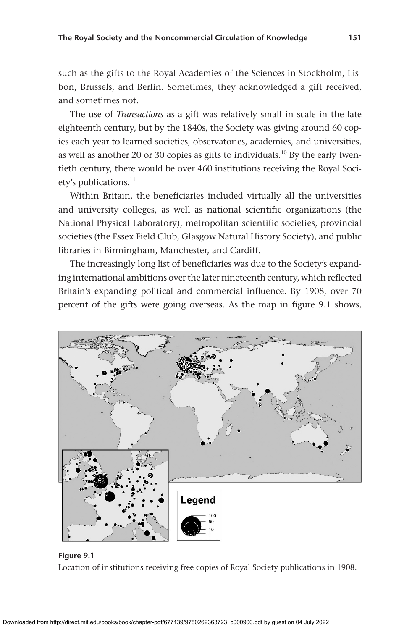such as the gifts to the Royal Academies of the Sciences in Stockholm, Lisbon, Brussels, and Berlin. Sometimes, they acknowledged a gift received, and sometimes not.

The use of *Transactions* as a gift was relatively small in scale in the late eighteenth century, but by the 1840s, the Society was giving around 60 copies each year to learned societies, observatories, academies, and universities, as well as another 20 or 30 copies as gifts to individuals.<sup>10</sup> By the early twentieth century, there would be over 460 institutions receiving the Royal Society's publications.<sup>11</sup>

Within Britain, the beneficiaries included virtually all the universities and university colleges, as well as national scientific organizations (the National Physical Laboratory), metropolitan scientific societies, provincial societies (the Essex Field Club, Glasgow Natural History Society), and public libraries in Birmingham, Manchester, and Cardiff.

The increasingly long list of beneficiaries was due to the Society's expanding international ambitions over the later nineteenth century, which reflected Britain's expanding political and commercial influence. By 1908, over 70 percent of the gifts were going overseas. As the map in figure 9.1 shows,



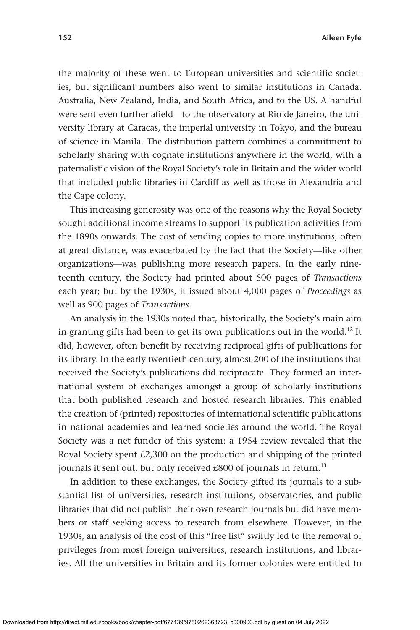the majority of these went to European universities and scientific societies, but significant numbers also went to similar institutions in Canada, Australia, New Zealand, India, and South Africa, and to the US. A handful were sent even further afield—to the observatory at Rio de Janeiro, the university library at Caracas, the imperial university in Tokyo, and the bureau of science in Manila. The distribution pattern combines a commitment to scholarly sharing with cognate institutions anywhere in the world, with a paternalistic vision of the Royal Society's role in Britain and the wider world that included public libraries in Cardiff as well as those in Alexandria and the Cape colony.

This increasing generosity was one of the reasons why the Royal Society sought additional income streams to support its publication activities from the 1890s onwards. The cost of sending copies to more institutions, often at great distance, was exacerbated by the fact that the Society—like other organizations—was publishing more research papers. In the early nineteenth century, the Society had printed about 500 pages of *Transactions* each year; but by the 1930s, it issued about 4,000 pages of *Proceedings* as well as 900 pages of *Transactions*.

An analysis in the 1930s noted that, historically, the Society's main aim in granting gifts had been to get its own publications out in the world.<sup>12</sup> It did, however, often benefit by receiving reciprocal gifts of publications for its library. In the early twentieth century, almost 200 of the institutions that received the Society's publications did reciprocate. They formed an international system of exchanges amongst a group of scholarly institutions that both published research and hosted research libraries. This enabled the creation of (printed) repositories of international scientific publications in national academies and learned societies around the world. The Royal Society was a net funder of this system: a 1954 review revealed that the Royal Society spent £2,300 on the production and shipping of the printed journals it sent out, but only received  $£800$  of journals in return.<sup>13</sup>

In addition to these exchanges, the Society gifted its journals to a substantial list of universities, research institutions, observatories, and public libraries that did not publish their own research journals but did have members or staff seeking access to research from elsewhere. However, in the 1930s, an analysis of the cost of this "free list" swiftly led to the removal of privileges from most foreign universities, research institutions, and libraries. All the universities in Britain and its former colonies were entitled to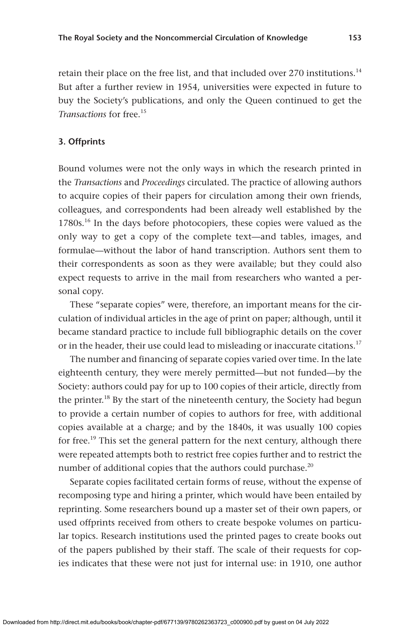retain their place on the free list, and that included over 270 institutions.<sup>14</sup> But after a further review in 1954, universities were expected in future to buy the Society's publications, and only the Queen continued to get the *Transactions* for free.<sup>15</sup>

### **3. Offprints**

Bound volumes were not the only ways in which the research printed in the *Transactions* and *Proceedings* circulated. The practice of allowing authors to acquire copies of their papers for circulation among their own friends, colleagues, and correspondents had been already well established by the 1780s.<sup>16</sup> In the days before photocopiers, these copies were valued as the only way to get a copy of the complete text—and tables, images, and formulae—without the labor of hand transcription. Authors sent them to their correspondents as soon as they were available; but they could also expect requests to arrive in the mail from researchers who wanted a personal copy.

These "separate copies" were, therefore, an important means for the circulation of individual articles in the age of print on paper; although, until it became standard practice to include full bibliographic details on the cover or in the header, their use could lead to misleading or inaccurate citations.<sup>17</sup>

The number and financing of separate copies varied over time. In the late eighteenth century, they were merely permitted—but not funded—by the Society: authors could pay for up to 100 copies of their article, directly from the printer.<sup>18</sup> By the start of the nineteenth century, the Society had begun to provide a certain number of copies to authors for free, with additional copies available at a charge; and by the 1840s, it was usually 100 copies for free.<sup>19</sup> This set the general pattern for the next century, although there were repeated attempts both to restrict free copies further and to restrict the number of additional copies that the authors could purchase.<sup>20</sup>

Separate copies facilitated certain forms of reuse, without the expense of recomposing type and hiring a printer, which would have been entailed by reprinting. Some researchers bound up a master set of their own papers, or used offprints received from others to create bespoke volumes on particular topics. Research institutions used the printed pages to create books out of the papers published by their staff. The scale of their requests for copies indicates that these were not just for internal use: in 1910, one author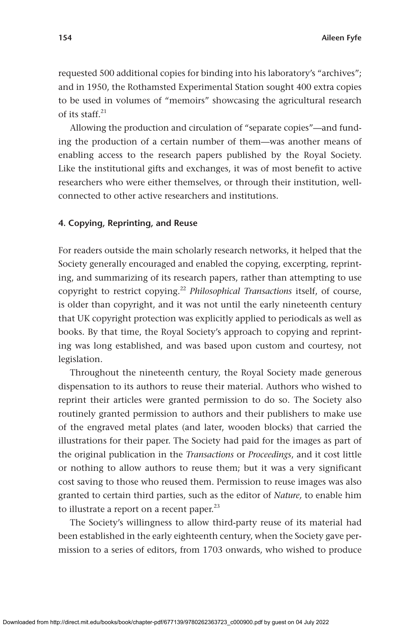requested 500 additional copies for binding into his laboratory's "archives"; and in 1950, the Rothamsted Experimental Station sought 400 extra copies to be used in volumes of "memoirs" showcasing the agricultural research of its staff. $21$ 

Allowing the production and circulation of "separate copies"—and funding the production of a certain number of them—was another means of enabling access to the research papers published by the Royal Society. Like the institutional gifts and exchanges, it was of most benefit to active researchers who were either themselves, or through their institution, wellconnected to other active researchers and institutions.

### **4. Copying, Reprinting, and Reuse**

For readers outside the main scholarly research networks, it helped that the Society generally encouraged and enabled the copying, excerpting, reprinting, and summarizing of its research papers, rather than attempting to use copyright to restrict copying.22 *Philosophical Transactions* itself, of course, is older than copyright, and it was not until the early nineteenth century that UK copyright protection was explicitly applied to periodicals as well as books. By that time, the Royal Society's approach to copying and reprinting was long established, and was based upon custom and courtesy, not legislation.

Throughout the nineteenth century, the Royal Society made generous dispensation to its authors to reuse their material. Authors who wished to reprint their articles were granted permission to do so. The Society also routinely granted permission to authors and their publishers to make use of the engraved metal plates (and later, wooden blocks) that carried the illustrations for their paper. The Society had paid for the images as part of the original publication in the *Transactions* or *Proceedings*, and it cost little or nothing to allow authors to reuse them; but it was a very significant cost saving to those who reused them. Permission to reuse images was also granted to certain third parties, such as the editor of *Nature,* to enable him to illustrate a report on a recent paper. $23$ 

The Society's willingness to allow third-party reuse of its material had been established in the early eighteenth century, when the Society gave permission to a series of editors, from 1703 onwards, who wished to produce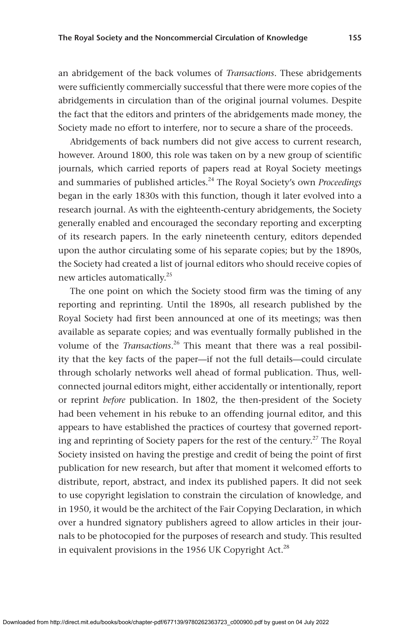an abridgement of the back volumes of *Transactions*. These abridgements were sufficiently commercially successful that there were more copies of the abridgements in circulation than of the original journal volumes. Despite the fact that the editors and printers of the abridgements made money, the Society made no effort to interfere, nor to secure a share of the proceeds.

Abridgements of back numbers did not give access to current research, however. Around 1800, this role was taken on by a new group of scientific journals, which carried reports of papers read at Royal Society meetings and summaries of published articles.<sup>24</sup> The Royal Society's own *Proceedings* began in the early 1830s with this function, though it later evolved into a research journal. As with the eighteenth-century abridgements, the Society generally enabled and encouraged the secondary reporting and excerpting of its research papers. In the early nineteenth century, editors depended upon the author circulating some of his separate copies; but by the 1890s, the Society had created a list of journal editors who should receive copies of new articles automatically.25

The one point on which the Society stood firm was the timing of any reporting and reprinting. Until the 1890s, all research published by the Royal Society had first been announced at one of its meetings; was then available as separate copies; and was eventually formally published in the volume of the *Transactions*.<sup>26</sup> This meant that there was a real possibility that the key facts of the paper—if not the full details—could circulate through scholarly networks well ahead of formal publication. Thus, wellconnected journal editors might, either accidentally or intentionally, report or reprint *before* publication. In 1802, the then-president of the Society had been vehement in his rebuke to an offending journal editor, and this appears to have established the practices of courtesy that governed reporting and reprinting of Society papers for the rest of the century.<sup>27</sup> The Royal Society insisted on having the prestige and credit of being the point of first publication for new research, but after that moment it welcomed efforts to distribute, report, abstract, and index its published papers. It did not seek to use copyright legislation to constrain the circulation of knowledge, and in 1950, it would be the architect of the Fair Copying Declaration, in which over a hundred signatory publishers agreed to allow articles in their journals to be photocopied for the purposes of research and study. This resulted in equivalent provisions in the 1956 UK Copyright Act.<sup>28</sup>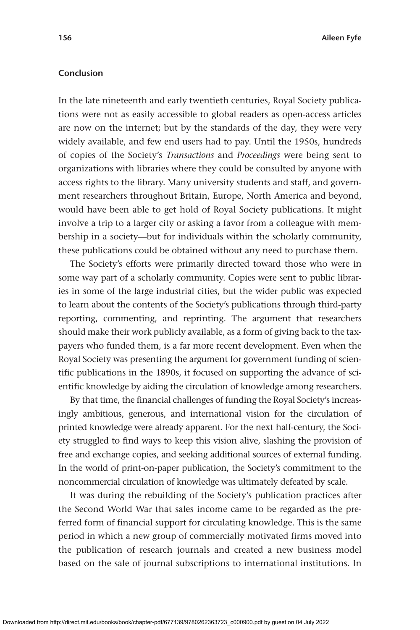### **Conclusion**

In the late nineteenth and early twentieth centuries, Royal Society publications were not as easily accessible to global readers as open-access articles are now on the internet; but by the standards of the day, they were very widely available, and few end users had to pay. Until the 1950s, hundreds of copies of the Society's *Transactions* and *Proceedings* were being sent to organizations with libraries where they could be consulted by anyone with access rights to the library. Many university students and staff, and government researchers throughout Britain, Europe, North America and beyond, would have been able to get hold of Royal Society publications. It might involve a trip to a larger city or asking a favor from a colleague with membership in a society—but for individuals within the scholarly community, these publications could be obtained without any need to purchase them.

The Society's efforts were primarily directed toward those who were in some way part of a scholarly community. Copies were sent to public libraries in some of the large industrial cities, but the wider public was expected to learn about the contents of the Society's publications through third-party reporting, commenting, and reprinting. The argument that researchers should make their work publicly available, as a form of giving back to the taxpayers who funded them, is a far more recent development. Even when the Royal Society was presenting the argument for government funding of scientific publications in the 1890s, it focused on supporting the advance of scientific knowledge by aiding the circulation of knowledge among researchers.

By that time, the financial challenges of funding the Royal Society's increasingly ambitious, generous, and international vision for the circulation of printed knowledge were already apparent. For the next half-century, the Society struggled to find ways to keep this vision alive, slashing the provision of free and exchange copies, and seeking additional sources of external funding. In the world of print-on-paper publication, the Society's commitment to the noncommercial circulation of knowledge was ultimately defeated by scale.

It was during the rebuilding of the Society's publication practices after the Second World War that sales income came to be regarded as the preferred form of financial support for circulating knowledge. This is the same period in which a new group of commercially motivated firms moved into the publication of research journals and created a new business model based on the sale of journal subscriptions to international institutions. In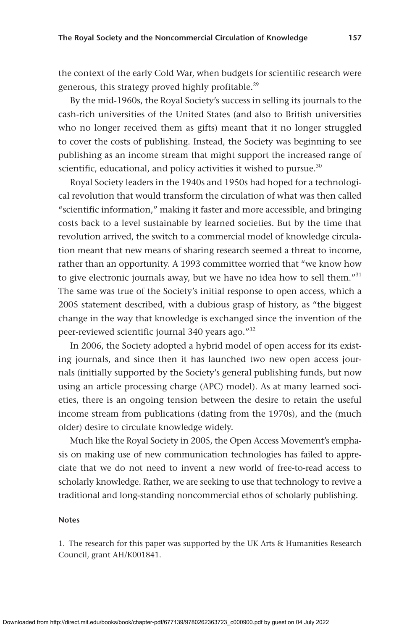the context of the early Cold War, when budgets for scientific research were generous, this strategy proved highly profitable.<sup>29</sup>

By the mid-1960s, the Royal Society's success in selling its journals to the cash-rich universities of the United States (and also to British universities who no longer received them as gifts) meant that it no longer struggled to cover the costs of publishing. Instead, the Society was beginning to see publishing as an income stream that might support the increased range of scientific, educational, and policy activities it wished to pursue.<sup>30</sup>

Royal Society leaders in the 1940s and 1950s had hoped for a technological revolution that would transform the circulation of what was then called "scientific information," making it faster and more accessible, and bringing costs back to a level sustainable by learned societies. But by the time that revolution arrived, the switch to a commercial model of knowledge circulation meant that new means of sharing research seemed a threat to income, rather than an opportunity. A 1993 committee worried that "we know how to give electronic journals away, but we have no idea how to sell them."<sup>31</sup> The same was true of the Society's initial response to open access, which a 2005 statement described, with a dubious grasp of history, as "the biggest change in the way that knowledge is exchanged since the invention of the peer-reviewed scientific journal 340 years ago."<sup>32</sup>

In 2006, the Society adopted a hybrid model of open access for its existing journals, and since then it has launched two new open access journals (initially supported by the Society's general publishing funds, but now using an article processing charge (APC) model). As at many learned societies, there is an ongoing tension between the desire to retain the useful income stream from publications (dating from the 1970s), and the (much older) desire to circulate knowledge widely.

Much like the Royal Society in 2005, the Open Access Movement's emphasis on making use of new communication technologies has failed to appreciate that we do not need to invent a new world of free-to-read access to scholarly knowledge. Rather, we are seeking to use that technology to revive a traditional and long-standing noncommercial ethos of scholarly publishing.

#### **Notes**

1. The research for this paper was supported by the UK Arts & Humanities Research Council, grant AH/K001841.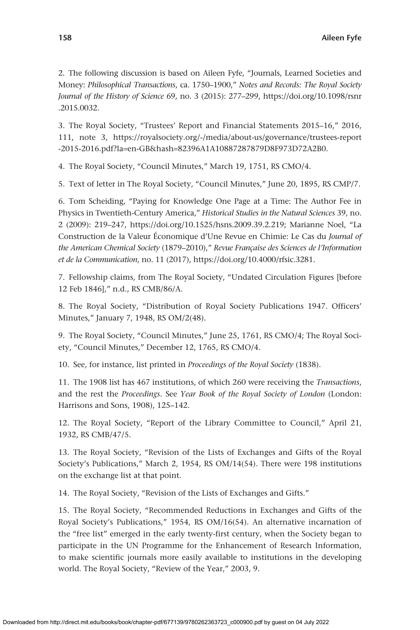2. The following discussion is based on Aileen Fyfe, "Journals, Learned Societies and Money: *Philosophical Transactions*, ca. 1750–1900," *Notes and Records: The Royal Society Journal of the History of Science* 69, no. 3 (2015): 277–299, [https://doi.org/10.1098/rsnr](https://doi.org/10.1098/rsnr.2015.0032) [.2015.0032.](https://doi.org/10.1098/rsnr.2015.0032)

3. The Royal Society, "Trustees' Report and Financial Statements 2015–16," 2016, 111, note 3, [https://royalsociety.org/-/media/about-us/governance/trustees-report](https://royalsociety.org/-/media/about-us/governance/trustees-report-2015-2016.pdf?la=en-GB&hash=82396A1A10887287879D8F973D72A2B0) -2015-2016.pdf?la=en-GB&hash=[82396A1A10887287879D8F973D72A2B0](https://royalsociety.org/-/media/about-us/governance/trustees-report-2015-2016.pdf?la=en-GB&hash=82396A1A10887287879D8F973D72A2B0).

4. The Royal Society, "Council Minutes," March 19, 1751, RS CMO/4.

5. Text of letter in The Royal Society, "Council Minutes," June 20, 1895, RS CMP/7.

6. Tom Scheiding, "Paying for Knowledge One Page at a Time: The Author Fee in Physics in Twentieth-Century America," *Historical Studies in the Natural Sciences* 39, no. 2 (2009): 219–247, <https://doi.org/10.1525/hsns.2009.39.2.219>; Marianne Noel, "La Construction de la Valeur Économique d'Une Revue en Chimie: Le Cas du *Journal of the American Chemical Society* (1879–2010)," *Revue Française des Sciences de l'Information et de la Communication*, no. 11 (2017), <https://doi.org/10.4000/rfsic.3281>.

7. Fellowship claims, from The Royal Society, "Undated Circulation Figures [before 12 Feb 1846]," n.d., RS CMB/86/A.

8. The Royal Society, "Distribution of Royal Society Publications 1947. Officers' Minutes," January 7, 1948, RS OM/2(48).

9. The Royal Society, "Council Minutes," June 25, 1761, RS CMO/4; The Royal Society, "Council Minutes," December 12, 1765, RS CMO/4.

10. See, for instance, list printed in *Proceedings of the Royal Society* (1838).

11. The 1908 list has 467 institutions, of which 260 were receiving the *Transactions*, and the rest the *Proceedings*. See *Year Book of the Royal Society of London* (London: Harrisons and Sons, 1908), 125–142.

12. The Royal Society, "Report of the Library Committee to Council," April 21, 1932, RS CMB/47/5.

13. The Royal Society, "Revision of the Lists of Exchanges and Gifts of the Royal Society's Publications," March 2, 1954, RS OM/14(54). There were 198 institutions on the exchange list at that point.

14. The Royal Society, "Revision of the Lists of Exchanges and Gifts."

15. The Royal Society, "Recommended Reductions in Exchanges and Gifts of the Royal Society's Publications," 1954, RS OM/16(54). An alternative incarnation of the "free list" emerged in the early twenty-first century, when the Society began to participate in the UN Programme for the Enhancement of Research Information, to make scientific journals more easily available to institutions in the developing world. The Royal Society, "Review of the Year," 2003, 9.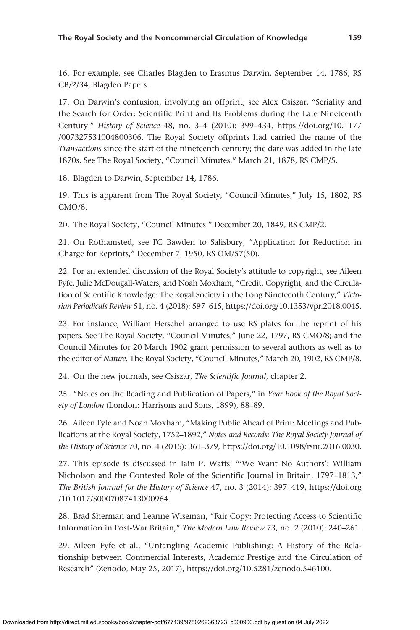16. For example, see Charles Blagden to Erasmus Darwin, September 14, 1786, RS CB/2/34, Blagden Papers.

17. On Darwin's confusion, involving an offprint, see Alex Csiszar, "Seriality and the Search for Order: Scientific Print and Its Problems during the Late Nineteenth Century," *History of Science* 48, no. 3–4 (2010): 399–434, [https://doi.org/10.1177](https://doi.org/10.1177/007327531004800306) [/007327531004800306](https://doi.org/10.1177/007327531004800306). The Royal Society offprints had carried the name of the *Transactions* since the start of the nineteenth century; the date was added in the late 1870s. See The Royal Society, "Council Minutes," March 21, 1878, RS CMP/5.

18. Blagden to Darwin, September 14, 1786.

19. This is apparent from The Royal Society, "Council Minutes," July 15, 1802, RS CMO/8.

20. The Royal Society, "Council Minutes," December 20, 1849, RS CMP/2.

21. On Rothamsted, see FC Bawden to Salisbury, "Application for Reduction in Charge for Reprints," December 7, 1950, RS OM/57(50).

22. For an extended discussion of the Royal Society's attitude to copyright, see Aileen Fyfe, Julie McDougall-Waters, and Noah Moxham, "Credit, Copyright, and the Circulation of Scientific Knowledge: The Royal Society in the Long Nineteenth Century," *Victorian Periodicals Review* 51, no. 4 (2018): 597–615, [https://doi.org/10.1353/vpr.2018.0045.](https://doi.org/10.1353/vpr.2018.0045)

23. For instance, William Herschel arranged to use RS plates for the reprint of his papers. See The Royal Society, "Council Minutes," June 22, 1797, RS CMO/8; and the Council Minutes for 20 March 1902 grant permission to several authors as well as to the editor of *Nature*. The Royal Society, "Council Minutes," March 20, 1902, RS CMP/8.

24. On the new journals, see Csiszar, *The Scientific Journal*, chapter 2.

25. "Notes on the Reading and Publication of Papers," in *Year Book of the Royal Society of London* (London: Harrisons and Sons, 1899), 88–89.

26. Aileen Fyfe and Noah Moxham, "Making Public Ahead of Print: Meetings and Publications at the Royal Society, 1752–1892," *Notes and Records: The Royal Society Journal of the History of Science* 70, no. 4 (2016): 361–379, [https://doi.org/10.1098/rsnr.2016.0030.](https://doi.org/10.1098/rsnr.2016.0030)

27. This episode is discussed in Iain P. Watts, "'We Want No Authors': William Nicholson and the Contested Role of the Scientific Journal in Britain, 1797–1813," *The British Journal for the History of Science* 47, no. 3 (2014): 397–419, [https://doi.org](https://doi.org/10.1017/S0007087413000964) [/10.1017/S0007087413000964](https://doi.org/10.1017/S0007087413000964).

28. Brad Sherman and Leanne Wiseman, "Fair Copy: Protecting Access to Scientific Information in Post-War Britain," *The Modern Law Review* 73, no. 2 (2010): 240–261.

29. Aileen Fyfe et al., "Untangling Academic Publishing: A History of the Relationship between Commercial Interests, Academic Prestige and the Circulation of Research" (Zenodo, May 25, 2017), [https://doi.org/10.5281/zenodo.546100.](https://doi.org/10.5281/zenodo.546100)